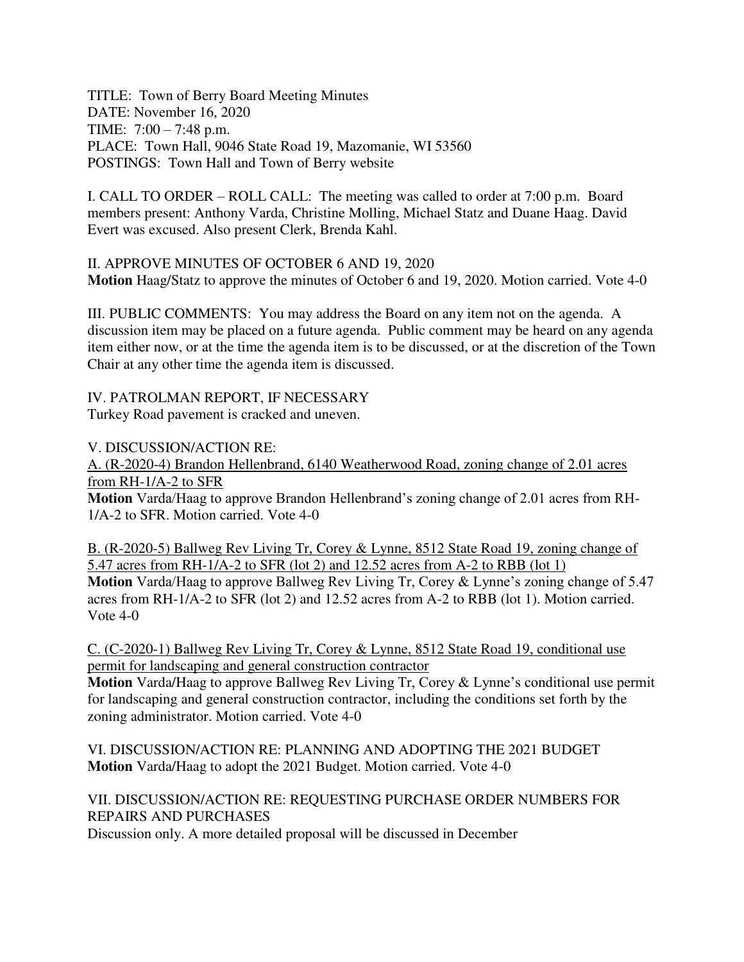TITLE: Town of Berry Board Meeting Minutes DATE: November 16, 2020 TIME: 7:00 – 7:48 p.m. PLACE: Town Hall, 9046 State Road 19, Mazomanie, WI 53560 POSTINGS: Town Hall and Town of Berry website

I. CALL TO ORDER – ROLL CALL: The meeting was called to order at 7:00 p.m. Board members present: Anthony Varda, Christine Molling, Michael Statz and Duane Haag. David Evert was excused. Also present Clerk, Brenda Kahl.

II. APPROVE MINUTES OF OCTOBER 6 AND 19, 2020 **Motion** Haag/Statz to approve the minutes of October 6 and 19, 2020. Motion carried. Vote 4-0

III. PUBLIC COMMENTS: You may address the Board on any item not on the agenda. A discussion item may be placed on a future agenda. Public comment may be heard on any agenda item either now, or at the time the agenda item is to be discussed, or at the discretion of the Town Chair at any other time the agenda item is discussed.

IV. PATROLMAN REPORT, IF NECESSARY Turkey Road pavement is cracked and uneven.

V. DISCUSSION/ACTION RE:

A. (R-2020-4) Brandon Hellenbrand, 6140 Weatherwood Road, zoning change of 2.01 acres from RH-1/A-2 to SFR

**Motion** Varda/Haag to approve Brandon Hellenbrand's zoning change of 2.01 acres from RH-1/A-2 to SFR. Motion carried. Vote 4-0

B. (R-2020-5) Ballweg Rev Living Tr, Corey & Lynne, 8512 State Road 19, zoning change of 5.47 acres from RH-1/A-2 to SFR (lot 2) and 12.52 acres from A-2 to RBB (lot 1)

**Motion** Varda/Haag to approve Ballweg Rev Living Tr, Corey & Lynne's zoning change of 5.47 acres from RH-1/A-2 to SFR (lot 2) and 12.52 acres from A-2 to RBB (lot 1). Motion carried. Vote 4-0

C. (C-2020-1) Ballweg Rev Living Tr, Corey & Lynne, 8512 State Road 19, conditional use permit for landscaping and general construction contractor

**Motion** Varda/Haag to approve Ballweg Rev Living Tr, Corey & Lynne's conditional use permit for landscaping and general construction contractor, including the conditions set forth by the zoning administrator. Motion carried. Vote 4-0

VI. DISCUSSION/ACTION RE: PLANNING AND ADOPTING THE 2021 BUDGET **Motion** Varda/Haag to adopt the 2021 Budget. Motion carried. Vote 4-0

## VII. DISCUSSION/ACTION RE: REQUESTING PURCHASE ORDER NUMBERS FOR REPAIRS AND PURCHASES

Discussion only. A more detailed proposal will be discussed in December